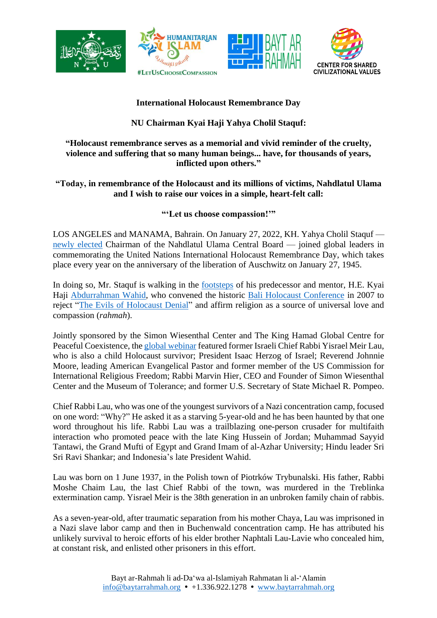







## **International Holocaust Remembrance Day**

# **NU Chairman Kyai Haji Yahya Cholil Staquf:**

#### **"Holocaust remembrance serves as a memorial and vivid reminder of the cruelty, violence and suffering that so many human beings... have, for thousands of years, inflicted upon others."**

## **"Today, in remembrance of the Holocaust and its millions of victims, Nahdlatul Ulama and I wish to raise our voices in a simple, heart-felt call:**

## **"'Let us choose compassion!'"**

LOS ANGELES and MANAMA, Bahrain. On January 27, 2022, KH. Yahya Cholil Staquf newly [elected](https://baytarrahmah.org/2021_12_24_humanitarian-islam-co-founder-elected-general-chairman-of-nahdlatul-ulama/) Chairman of the Nahdlatul Ulama Central Board — joined global leaders in commemorating the United Nations International Holocaust Remembrance Day, which takes place every year on the anniversary of the liberation of Auschwitz on January 27, 1945.

In doing so, Mr. Staquf is walking in the [footsteps](https://www.libforall.org/lfa/media/2008/JTA_Ex-premier-fights-for-moderate-Islam_05-19-08.pdf) of his predecessor and mentor, H.E. Kyai Haji [Abdurrahman](https://libforall.org/cofounder-guiding-spirit/) Wahid, who convened the historic Bali Holocaust [Conference](https://libforall.org/bali-holocaust-conference/) in 2007 to reject "The Evils of [Holocaust](https://www.libforall.org/lfa/media/2007/WSJ_The-Evils-of-Holocaust-Denial_06-12-07.pdf) Denial" and affirm religion as a source of universal love and compassion (*rahmah*).

Jointly sponsored by the Simon Wiesenthal Center and The King Hamad Global Centre for Peaceful Coexistence, the global [webinar](https://www.baytarrahmah.org/media/2022/jns_jewish-muslim-christian-leaders-hold-webinar-to-mark-holocaust-remembrance-day_1-22-22.pdf) featured former Israeli Chief Rabbi Yisrael Meir Lau, who is also a child Holocaust survivor; President Isaac Herzog of Israel; Reverend Johnnie Moore, leading American Evangelical Pastor and former member of the US Commission for International Religious Freedom; Rabbi Marvin Hier, CEO and Founder of Simon Wiesenthal Center and the Museum of Tolerance; and former U.S. Secretary of State Michael R. Pompeo.

Chief Rabbi Lau, who was one of the youngest survivors of a Nazi concentration camp, focused on one word: "Why?" He asked it as a starving 5-year-old and he has been haunted by that one word throughout his life. Rabbi Lau was a trailblazing one-person crusader for multifaith interaction who promoted peace with the late King Hussein of Jordan; Muhammad Sayyid Tantawi, the Grand Mufti of Egypt and Grand Imam of al-Azhar University; Hindu leader Sri Sri Ravi Shankar; and Indonesia's late President Wahid.

Lau was born on 1 June 1937, in the Polish town of Piotrków Trybunalski. His father, Rabbi Moshe Chaim Lau, the last Chief Rabbi of the town, was murdered in the Treblinka extermination camp. Yisrael Meir is the 38th generation in an unbroken family chain of rabbis.

As a seven-year-old, after traumatic separation from his mother Chaya, Lau was imprisoned in a Nazi slave labor camp and then in Buchenwald concentration camp. He has attributed his unlikely survival to heroic efforts of his elder brother Naphtali Lau-Lavie who concealed him, at constant risk, and enlisted other prisoners in this effort.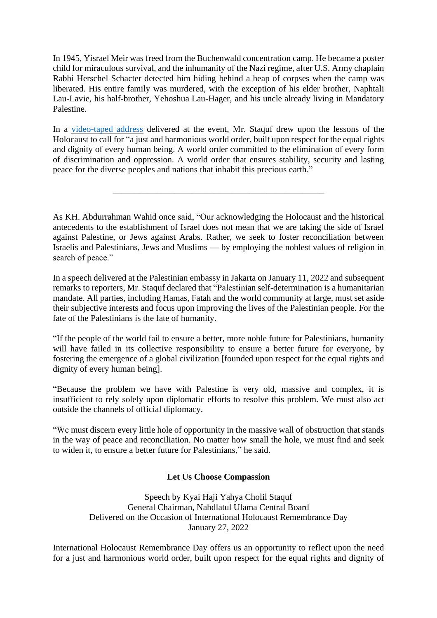In 1945, Yisrael Meir was freed from the Buchenwald concentration camp. He became a poster child for miraculous survival, and the inhumanity of the Nazi regime, after U.S. Army chaplain Rabbi Herschel Schacter detected him hiding behind a heap of corpses when the camp was liberated. His entire family was murdered, with the exception of his elder brother, Naphtali Lau-Lavie, his half-brother, Yehoshua Lau-Hager, and his uncle already living in Mandatory Palestine.

In a [video-taped address](https://youtu.be/O6zNIJa5vkE) delivered at the event, Mr. Staquf drew upon the lessons of the Holocaust to call for "a just and harmonious world order, built upon respect for the equal rights and dignity of every human being. A world order committed to the elimination of every form of discrimination and oppression. A world order that ensures stability, security and lasting peace for the diverse peoples and nations that inhabit this precious earth."

\_\_\_\_\_\_\_\_\_\_\_\_\_\_\_\_\_\_\_\_\_\_\_\_\_\_\_\_\_\_\_\_\_\_\_\_\_\_\_\_\_\_\_\_\_\_\_\_

As KH. Abdurrahman Wahid once said, "Our acknowledging the Holocaust and the historical antecedents to the establishment of Israel does not mean that we are taking the side of Israel against Palestine, or Jews against Arabs. Rather, we seek to foster reconciliation between Israelis and Palestinians, Jews and Muslims — by employing the noblest values of religion in search of peace."

In a speech delivered at the Palestinian embassy in Jakarta on January 11, 2022 and subsequent remarks to reporters, Mr. Staquf declared that "Palestinian self-determination is a humanitarian mandate. All parties, including Hamas, Fatah and the world community at large, must set aside their subjective interests and focus upon improving the lives of the Palestinian people. For the fate of the Palestinians is the fate of humanity.

"If the people of the world fail to ensure a better, more noble future for Palestinians, humanity will have failed in its collective responsibility to ensure a better future for everyone, by fostering the emergence of a global civilization [founded upon respect for the equal rights and dignity of every human being].

"Because the problem we have with Palestine is very old, massive and complex, it is insufficient to rely solely upon diplomatic efforts to resolve this problem. We must also act outside the channels of official diplomacy.

"We must discern every little hole of opportunity in the massive wall of obstruction that stands in the way of peace and reconciliation. No matter how small the hole, we must find and seek to widen it, to ensure a better future for Palestinians," he said.

#### **Let Us Choose Compassion**

Speech by Kyai Haji Yahya Cholil Staquf General Chairman, Nahdlatul Ulama Central Board Delivered on the Occasion of International Holocaust Remembrance Day January 27, 2022

International Holocaust Remembrance Day offers us an opportunity to reflect upon the need for a just and harmonious world order, built upon respect for the equal rights and dignity of